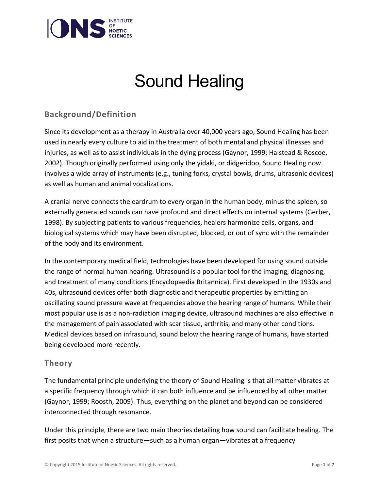

# Sound Healing

## **Background/Definition**

Since its development as a therapy in Australia over 40,000 years ago, Sound Healing has been used in nearly every culture to aid in the treatment of both mental and physical illnesses and injuries, as well as to assist individuals in the dying process (Gaynor, 1999; Halstead & Roscoe, 2002). Though originally performed using only the yidaki, or didgeridoo, Sound Healing now involves a wide array of instruments (e.g., tuning forks, crystal bowls, drums, ultrasonic devices) as well as human and animal vocalizations.

A cranial nerve connects the eardrum to every organ in the human body, minus the spleen, so externally generated sounds can have profound and direct effects on internal systems (Gerber, 1998). By subjecting patients to various frequencies, healers harmonize cells, organs, and biological systems which may have been disrupted, blocked, or out of sync with the remainder of the body and its environment.

In the contemporary medical field, technologies have been developed for using sound outside the range of normal human hearing. Ultrasound is a popular tool for the imaging, diagnosing, and treatment of many conditions (Encyclopaedia Britannica). First developed in the 1930s and 40s, ultrasound devices offer both diagnostic and therapeutic properties by emitting an oscillating sound pressure wave at frequencies above the hearing range of humans. While their most popular use is as a non-radiation imaging device, ultrasound machines are also effective in the management of pain associated with scar tissue, arthritis, and many other conditions. Medical devices based on infrasound, sound below the hearing range of humans, have started being developed more recently.

### **Theory**

The fundamental principle underlying the theory of Sound Healing is that all matter vibrates at a specific frequency through which it can both influence and be influenced by all other matter (Gaynor, 1999; Roosth, 2009). Thus, everything on the planet and beyond can be considered interconnected through resonance.

Under this principle, there are two main theories detailing how sound can facilitate healing. The first posits that when a structure—such as a human organ—vibrates at a frequency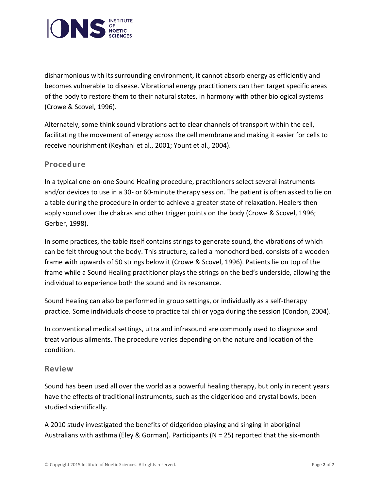

disharmonious with its surrounding environment, it cannot absorb energy as efficiently and becomes vulnerable to disease. Vibrational energy practitioners can then target specific areas of the body to restore them to their natural states, in harmony with other biological systems (Crowe & Scovel, 1996).

Alternately, some think sound vibrations act to clear channels of transport within the cell, facilitating the movement of energy across the cell membrane and making it easier for cells to receive nourishment (Keyhani et al., 2001; Yount et al., 2004).

### **Procedure**

In a typical one-on-one Sound Healing procedure, practitioners select several instruments and/or devices to use in a 30- or 60-minute therapy session. The patient is often asked to lie on a table during the procedure in order to achieve a greater state of relaxation. Healers then apply sound over the chakras and other trigger points on the body (Crowe & Scovel, 1996; Gerber, 1998).

In some practices, the table itself contains strings to generate sound, the vibrations of which can be felt throughout the body. This structure, called a monochord bed, consists of a wooden frame with upwards of 50 strings below it (Crowe & Scovel, 1996). Patients lie on top of the frame while a Sound Healing practitioner plays the strings on the bed's underside, allowing the individual to experience both the sound and its resonance.

Sound Healing can also be performed in group settings, or individually as a self-therapy practice. Some individuals choose to practice tai chi or yoga during the session (Condon, 2004).

In conventional medical settings, ultra and infrasound are commonly used to diagnose and treat various ailments. The procedure varies depending on the nature and location of the condition.

### **Review**

Sound has been used all over the world as a powerful healing therapy, but only in recent years have the effects of traditional instruments, such as the didgeridoo and crystal bowls, been studied scientifically.

A 2010 study investigated the benefits of didgeridoo playing and singing in aboriginal Australians with asthma (Eley & Gorman). Participants (N = 25) reported that the six-month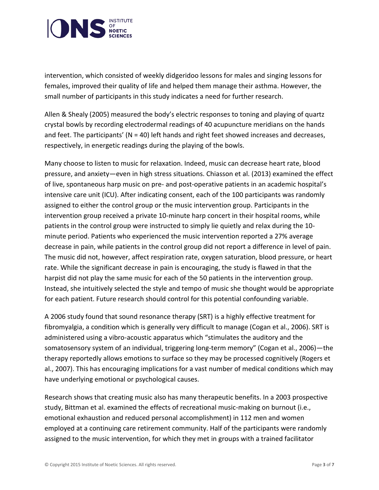

intervention, which consisted of weekly didgeridoo lessons for males and singing lessons for females, improved their quality of life and helped them manage their asthma. However, the small number of participants in this study indicates a need for further research.

Allen & Shealy (2005) measured the body's electric responses to toning and playing of quartz crystal bowls by recording electrodermal readings of 40 acupuncture meridians on the hands and feet. The participants' ( $N = 40$ ) left hands and right feet showed increases and decreases, respectively, in energetic readings during the playing of the bowls.

Many choose to listen to music for relaxation. Indeed, music can decrease heart rate, blood pressure, and anxiety—even in high stress situations. Chiasson et al. (2013) examined the effect of live, spontaneous harp music on pre- and post-operative patients in an academic hospital's intensive care unit (ICU). After indicating consent, each of the 100 participants was randomly assigned to either the control group or the music intervention group. Participants in the intervention group received a private 10-minute harp concert in their hospital rooms, while patients in the control group were instructed to simply lie quietly and relax during the 10 minute period. Patients who experienced the music intervention reported a 27% average decrease in pain, while patients in the control group did not report a difference in level of pain. The music did not, however, affect respiration rate, oxygen saturation, blood pressure, or heart rate. While the significant decrease in pain is encouraging, the study is flawed in that the harpist did not play the same music for each of the 50 patients in the intervention group. Instead, she intuitively selected the style and tempo of music she thought would be appropriate for each patient. Future research should control for this potential confounding variable.

A 2006 study found that sound resonance therapy (SRT) is a highly effective treatment for fibromyalgia, a condition which is generally very difficult to manage (Cogan et al., 2006). SRT is administered using a vibro-acoustic apparatus which "stimulates the auditory and the somatosensory system of an individual, triggering long-term memory" (Cogan et al., 2006)—the therapy reportedly allows emotions to surface so they may be processed cognitively (Rogers et al., 2007). This has encouraging implications for a vast number of medical conditions which may have underlying emotional or psychological causes.

Research shows that creating music also has many therapeutic benefits. In a 2003 prospective study, Bittman et al. examined the effects of recreational music-making on burnout (i.e., emotional exhaustion and reduced personal accomplishment) in 112 men and women employed at a continuing care retirement community. Half of the participants were randomly assigned to the music intervention, for which they met in groups with a trained facilitator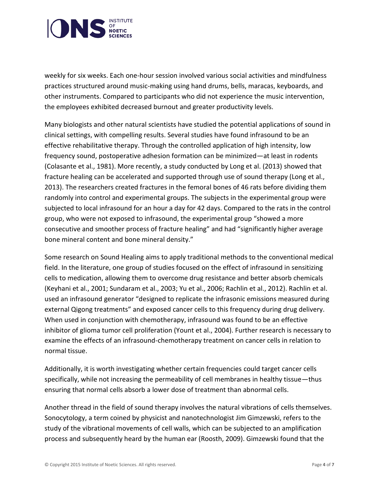

weekly for six weeks. Each one-hour session involved various social activities and mindfulness practices structured around music-making using hand drums, bells, maracas, keyboards, and other instruments. Compared to participants who did not experience the music intervention, the employees exhibited decreased burnout and greater productivity levels.

Many biologists and other natural scientists have studied the potential applications of sound in clinical settings, with compelling results. Several studies have found infrasound to be an effective rehabilitative therapy. Through the controlled application of high intensity, low frequency sound, postoperative adhesion formation can be minimized—at least in rodents (Colasante et al., 1981). More recently, a study conducted by Long et al. (2013) showed that fracture healing can be accelerated and supported through use of sound therapy (Long et al., 2013). The researchers created fractures in the femoral bones of 46 rats before dividing them randomly into control and experimental groups. The subjects in the experimental group were subjected to local infrasound for an hour a day for 42 days. Compared to the rats in the control group, who were not exposed to infrasound, the experimental group "showed a more consecutive and smoother process of fracture healing" and had "significantly higher average bone mineral content and bone mineral density."

Some research on Sound Healing aims to apply traditional methods to the conventional medical field. In the literature, one group of studies focused on the effect of infrasound in sensitizing cells to medication, allowing them to overcome drug resistance and better absorb chemicals (Keyhani et al., 2001; Sundaram et al., 2003; Yu et al., 2006; Rachlin et al., 2012). Rachlin et al. used an infrasound generator "designed to replicate the infrasonic emissions measured during external Qigong treatments" and exposed cancer cells to this frequency during drug delivery. When used in conjunction with chemotherapy, infrasound was found to be an effective inhibitor of glioma tumor cell proliferation (Yount et al., 2004). Further research is necessary to examine the effects of an infrasound-chemotherapy treatment on cancer cells in relation to normal tissue.

Additionally, it is worth investigating whether certain frequencies could target cancer cells specifically, while not increasing the permeability of cell membranes in healthy tissue—thus ensuring that normal cells absorb a lower dose of treatment than abnormal cells.

Another thread in the field of sound therapy involves the natural vibrations of cells themselves. Sonocytology, a term coined by physicist and nanotechnologist Jim Gimzewski, refers to the study of the vibrational movements of cell walls, which can be subjected to an amplification process and subsequently heard by the human ear (Roosth, 2009). Gimzewski found that the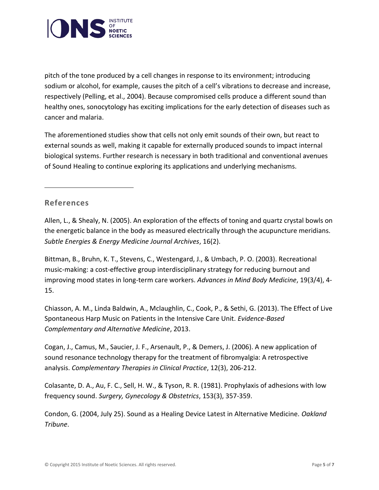

pitch of the tone produced by a cell changes in response to its environment; introducing sodium or alcohol, for example, causes the pitch of a cell's vibrations to decrease and increase, respectively (Pelling, et al., 2004). Because compromised cells produce a different sound than healthy ones, sonocytology has exciting implications for the early detection of diseases such as cancer and malaria.

The aforementioned studies show that cells not only emit sounds of their own, but react to external sounds as well, making it capable for externally produced sounds to impact internal biological systems. Further research is necessary in both traditional and conventional avenues of Sound Healing to continue exploring its applications and underlying mechanisms.

### **References**

Allen, L., & Shealy, N. (2005). An exploration of the effects of toning and quartz crystal bowls on the energetic balance in the body as measured electrically through the acupuncture meridians. *Subtle Energies & Energy Medicine Journal Archives*, 16(2).

Bittman, B., Bruhn, K. T., Stevens, C., Westengard, J., & Umbach, P. O. (2003). Recreational music-making: a cost-effective group interdisciplinary strategy for reducing burnout and improving mood states in long-term care workers. *Advances in Mind Body Medicine*, 19(3/4), 4- 15.

Chiasson, A. M., Linda Baldwin, A., Mclaughlin, C., Cook, P., & Sethi, G. (2013). The Effect of Live Spontaneous Harp Music on Patients in the Intensive Care Unit. *Evidence-Based Complementary and Alternative Medicine*, 2013.

Cogan, J., Camus, M., Saucier, J. F., Arsenault, P., & Demers, J. (2006). A new application of sound resonance technology therapy for the treatment of fibromyalgia: A retrospective analysis. *Complementary Therapies in Clinical Practice*, 12(3), 206-212.

Colasante, D. A., Au, F. C., Sell, H. W., & Tyson, R. R. (1981). Prophylaxis of adhesions with low frequency sound. *Surgery, Gynecology & Obstetrics*, 153(3), 357-359.

Condon, G. (2004, July 25). Sound as a Healing Device Latest in Alternative Medicine. *Oakland Tribune*.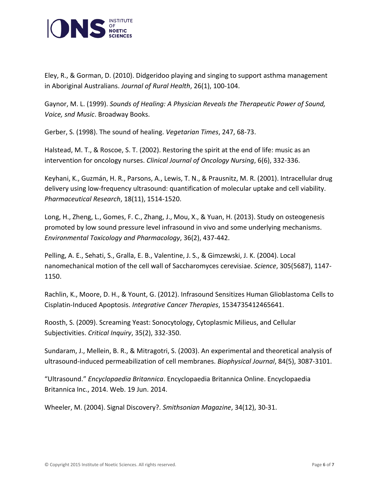

Eley, R., & Gorman, D. (2010). Didgeridoo playing and singing to support asthma management in Aboriginal Australians. *Journal of Rural Health*, 26(1), 100-104.

Gaynor, M. L. (1999). *Sounds of Healing: A Physician Reveals the Therapeutic Power of Sound, Voice, snd Music*. Broadway Books.

Gerber, S. (1998). The sound of healing. *Vegetarian Times*, 247, 68-73.

Halstead, M. T., & Roscoe, S. T. (2002). Restoring the spirit at the end of life: music as an intervention for oncology nurses. *Clinical Journal of Oncology Nursing*, 6(6), 332-336.

Keyhani, K., Guzmán, H. R., Parsons, A., Lewis, T. N., & Prausnitz, M. R. (2001). Intracellular drug delivery using low-frequency ultrasound: quantification of molecular uptake and cell viability. *Pharmaceutical Research*, 18(11), 1514-1520.

Long, H., Zheng, L., Gomes, F. C., Zhang, J., Mou, X., & Yuan, H. (2013). Study on osteogenesis promoted by low sound pressure level infrasound in vivo and some underlying mechanisms. *Environmental Toxicology and Pharmacology*, 36(2), 437-442.

Pelling, A. E., Sehati, S., Gralla, E. B., Valentine, J. S., & Gimzewski, J. K. (2004). Local nanomechanical motion of the cell wall of Saccharomyces cerevisiae. *Science*, 305(5687), 1147- 1150.

Rachlin, K., Moore, D. H., & Yount, G. (2012). Infrasound Sensitizes Human Glioblastoma Cells to Cisplatin-Induced Apoptosis. *Integrative Cancer Therapies*, 1534735412465641.

Roosth, S. (2009). Screaming Yeast: Sonocytology, Cytoplasmic Milieus, and Cellular Subjectivities. *Critical Inquiry*, 35(2), 332-350.

Sundaram, J., Mellein, B. R., & Mitragotri, S. (2003). An experimental and theoretical analysis of ultrasound-induced permeabilization of cell membranes. *Biophysical Journal*, 84(5), 3087-3101.

"Ultrasound." *Encyclopaedia Britannica*. Encyclopaedia Britannica Online. Encyclopaedia Britannica Inc., 2014. Web. 19 Jun. 2014.

Wheeler, M. (2004). Signal Discovery?. *Smithsonian Magazine*, 34(12), 30-31.